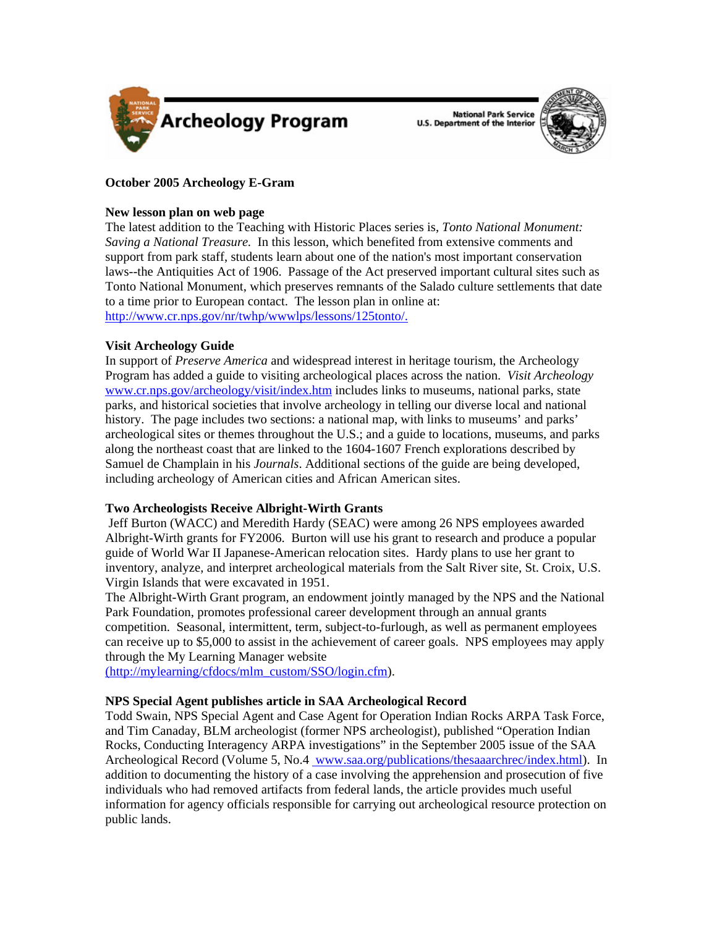

National Park Service<br>U.S. Department of the Interior



# **October 2005 Archeology E-Gram**

### **New lesson plan on web page**

The latest addition to the Teaching with Historic Places series is, *Tonto National Monument: Saving a National Treasure.* In this lesson, which benefited from extensive comments and support from park staff, students learn about one of the nation's most important conservation laws--the Antiquities Act of 1906. Passage of the Act preserved important cultural sites such as Tonto National Monument, which preserves remnants of the Salado culture settlements that date to a time prior to European contact. The lesson plan in online at: [http://www.cr.nps.gov/nr/twhp/wwwlps/lessons/125tonto/.](http://www.cr.nps.gov/nr/twhp/wwwlps/lessons/125tonto/)

## **Visit Archeology Guide**

In support of *Preserve America* and widespread interest in heritage tourism, the Archeology Program has added a guide to visiting archeological places across the nation. *Visit Archeology*  [www.cr.nps.gov/archeology/visit/index.htm](http://www.cr.nps.gov/archeology/visit/index.htm) includes links to museums, national parks, state parks, and historical societies that involve archeology in telling our diverse local and national history. The page includes two sections: a national map, with links to museums' and parks' archeological sites or themes throughout the U.S.; and a guide to locations, museums, and parks along the northeast coast that are linked to the 1604-1607 French explorations described by Samuel de Champlain in his *Journals*. Additional sections of the guide are being developed, including archeology of American cities and African American sites.

### **Two Archeologists Receive Albright-Wirth Grants**

Jeff Burton (WACC) and Meredith Hardy (SEAC) were among 26 NPS employees awarded Albright-Wirth grants for FY2006. Burton will use his grant to research and produce a popular guide of World War II Japanese-American relocation sites. Hardy plans to use her grant to inventory, analyze, and interpret archeological materials from the Salt River site, St. Croix, U.S. Virgin Islands that were excavated in 1951.

The Albright-Wirth Grant program, an endowment jointly managed by the NPS and the National Park Foundation, promotes professional career development through an annual grants competition. Seasonal, intermittent, term, subject-to-furlough, as well as permanent employees can receive up to \$5,000 to assist in the achievement of career goals. NPS employees may apply through the My Learning Manager website

([http://mylearning/cfdocs/mlm\\_custom/SSO/login.cfm\)](http://mylearning/cfdocs/mlm_custom/SSO/login.cfm).

### **NPS Special Agent publishes article in SAA Archeological Record**

Todd Swain, NPS Special Agent and Case Agent for Operation Indian Rocks ARPA Task Force, and Tim Canaday, BLM archeologist (former NPS archeologist), published "Operation Indian Rocks, Conducting Interagency ARPA investigations" in the September 2005 issue of the SAA Archeological Record (Volume 5, No.4 [www.saa.org/publications/thesaaarchrec/index.html\)](http://www.saa.org/publications/thesaaarchrec/index.html). In addition to documenting the history of a case involving the apprehension and prosecution of five individuals who had removed artifacts from federal lands, the article provides much useful information for agency officials responsible for carrying out archeological resource protection on public lands.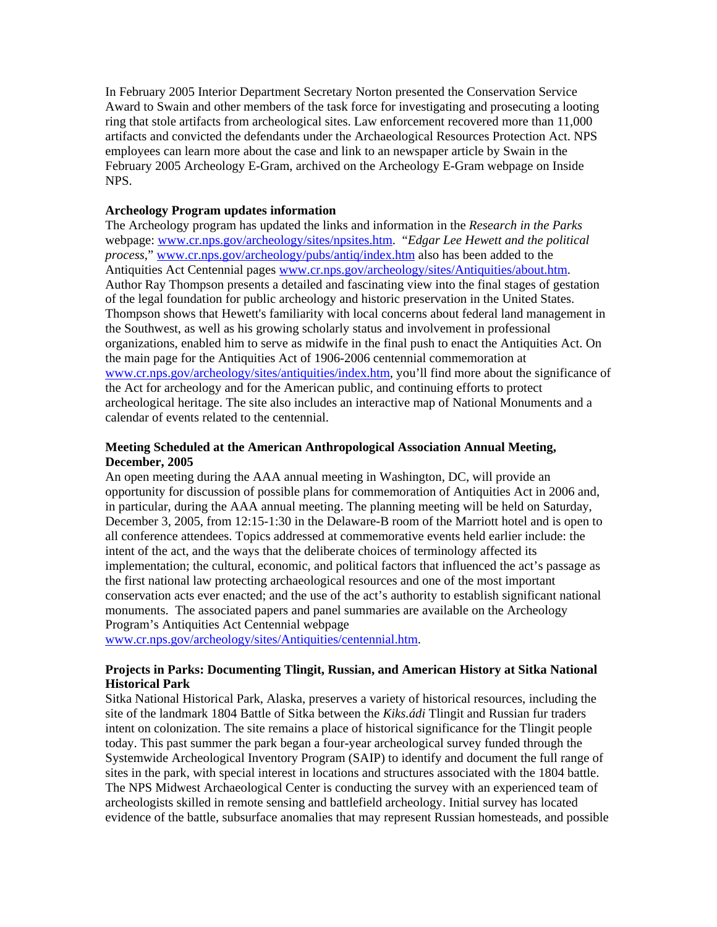In February 2005 Interior Department Secretary Norton presented the Conservation Service Award to Swain and other members of the task force for investigating and prosecuting a looting ring that stole artifacts from archeological sites. Law enforcement recovered more than 11,000 artifacts and convicted the defendants under the Archaeological Resources Protection Act. NPS employees can learn more about the case and link to an newspaper article by Swain in the February 2005 Archeology E-Gram, archived on the Archeology E-Gram webpage on Inside NPS.

#### **Archeology Program updates information**

The Archeology program has updated the links and information in the *Research in the Parks*  webpage: [www.cr.nps.gov/archeology/sites/npsites.htm](http://www.cr.nps.gov/archeology/sites/npsites.htm). "*Edgar Lee Hewett and the political process,*" [www.cr.nps.gov/archeology/pubs/antiq/index.htm](http://www.cr.nps.gov/archeology/pubs/antiq/index.htm) also has been added to the Antiquities Act Centennial pages [www.cr.nps.gov/archeology/sites/Antiquities/about.htm.](http://www.cr.nps.gov/archeology/sites/Antiquities/about.htm) Author Ray Thompson presents a detailed and fascinating view into the final stages of gestation of the legal foundation for public archeology and historic preservation in the United States. Thompson shows that Hewett's familiarity with local concerns about federal land management in the Southwest, as well as his growing scholarly status and involvement in professional organizations, enabled him to serve as midwife in the final push to enact the Antiquities Act. On the main page for the Antiquities Act of 1906-2006 centennial commemoration at [www.cr.nps.gov/archeology/sites/antiquities/index.htm](http://www.cr.nps.gov/archeology/sites/antiquities/index.htm), you'll find more about the significance of the Act for archeology and for the American public, and continuing efforts to protect archeological heritage. The site also includes an interactive map of National Monuments and a calendar of events related to the centennial.

### **Meeting Scheduled at the American Anthropological Association Annual Meeting, December, 2005**

An open meeting during the AAA annual meeting in Washington, DC, will provide an opportunity for discussion of possible plans for commemoration of Antiquities Act in 2006 and, in particular, during the AAA annual meeting. The planning meeting will be held on Saturday, December 3, 2005, from 12:15-1:30 in the Delaware-B room of the Marriott hotel and is open to all conference attendees. Topics addressed at commemorative events held earlier include: the intent of the act, and the ways that the deliberate choices of terminology affected its implementation; the cultural, economic, and political factors that influenced the act's passage as the first national law protecting archaeological resources and one of the most important conservation acts ever enacted; and the use of the act's authority to establish significant national monuments. The associated papers and panel summaries are available on the Archeology Program's Antiquities Act Centennial webpage

[www.cr.nps.gov/archeology/sites/Antiquities/centennial.htm.](http://www.cr.nps.gov/archeology/sites/Antiquities/centennial.htm)

## **Projects in Parks: Documenting Tlingit, Russian, and American History at Sitka National Historical Park**

Sitka National Historical Park, Alaska, preserves a variety of historical resources, including the site of the landmark 1804 Battle of Sitka between the *Kiks.ádi* Tlingit and Russian fur traders intent on colonization. The site remains a place of historical significance for the Tlingit people today. This past summer the park began a four-year archeological survey funded through the Systemwide Archeological Inventory Program (SAIP) to identify and document the full range of sites in the park, with special interest in locations and structures associated with the 1804 battle. The NPS Midwest Archaeological Center is conducting the survey with an experienced team of archeologists skilled in remote sensing and battlefield archeology. Initial survey has located evidence of the battle, subsurface anomalies that may represent Russian homesteads, and possible